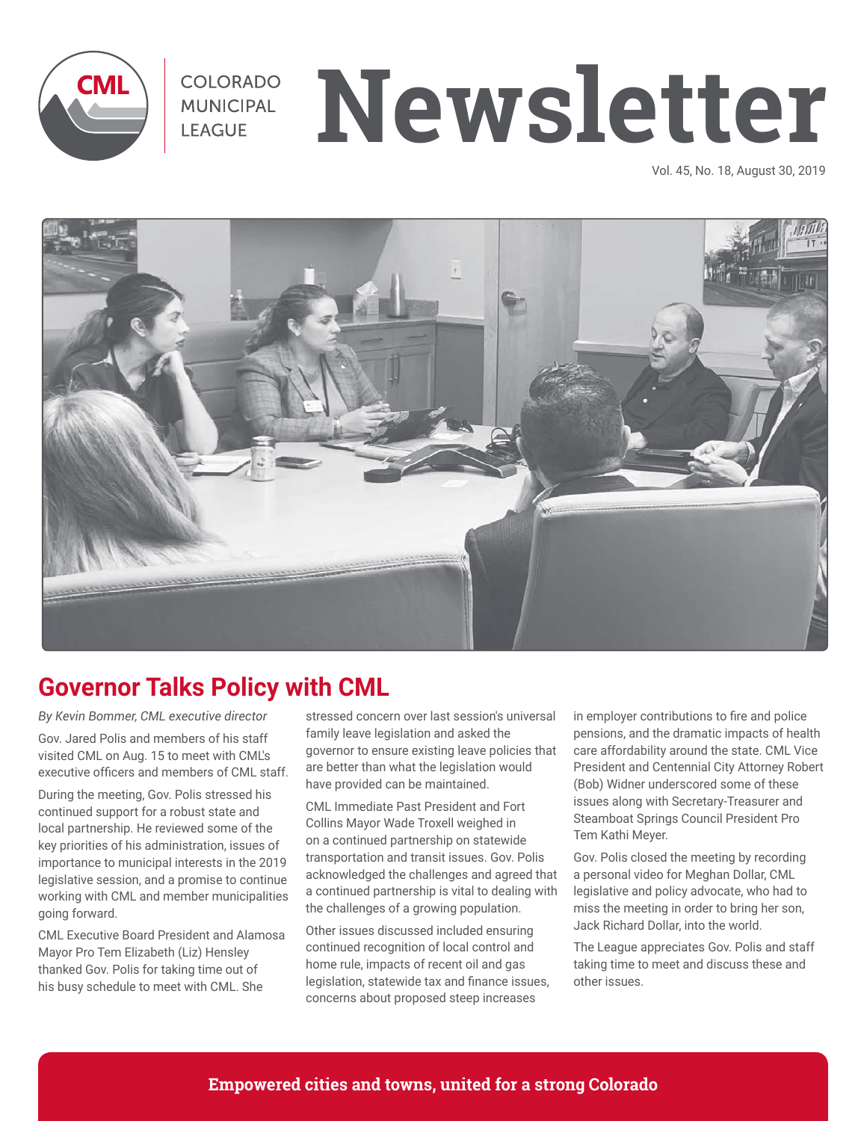

# **MUNICIPAL Newsletter**

Vol. 45, No. 18, August 30, 2019



## **Governor Talks Policy with CML**

*By Kevin Bommer, CML executive director* Gov. Jared Polis and members of his staff visited CML on Aug. 15 to meet with CML's executive officers and members of CML staff.

During the meeting, Gov. Polis stressed his continued support for a robust state and local partnership. He reviewed some of the key priorities of his administration, issues of importance to municipal interests in the 2019 legislative session, and a promise to continue working with CML and member municipalities going forward.

CML Executive Board President and Alamosa Mayor Pro Tem Elizabeth (Liz) Hensley thanked Gov. Polis for taking time out of his busy schedule to meet with CML. She

stressed concern over last session's universal family leave legislation and asked the governor to ensure existing leave policies that are better than what the legislation would have provided can be maintained.

CML Immediate Past President and Fort Collins Mayor Wade Troxell weighed in on a continued partnership on statewide transportation and transit issues. Gov. Polis acknowledged the challenges and agreed that a continued partnership is vital to dealing with the challenges of a growing population.

Other issues discussed included ensuring continued recognition of local control and home rule, impacts of recent oil and gas legislation, statewide tax and finance issues, concerns about proposed steep increases

in employer contributions to fire and police pensions, and the dramatic impacts of health care affordability around the state. CML Vice President and Centennial City Attorney Robert (Bob) Widner underscored some of these issues along with Secretary-Treasurer and Steamboat Springs Council President Pro Tem Kathi Meyer.

Gov. Polis closed the meeting by recording a personal video for Meghan Dollar, CML legislative and policy advocate, who had to miss the meeting in order to bring her son, Jack Richard Dollar, into the world.

The League appreciates Gov. Polis and staff taking time to meet and discuss these and other issues.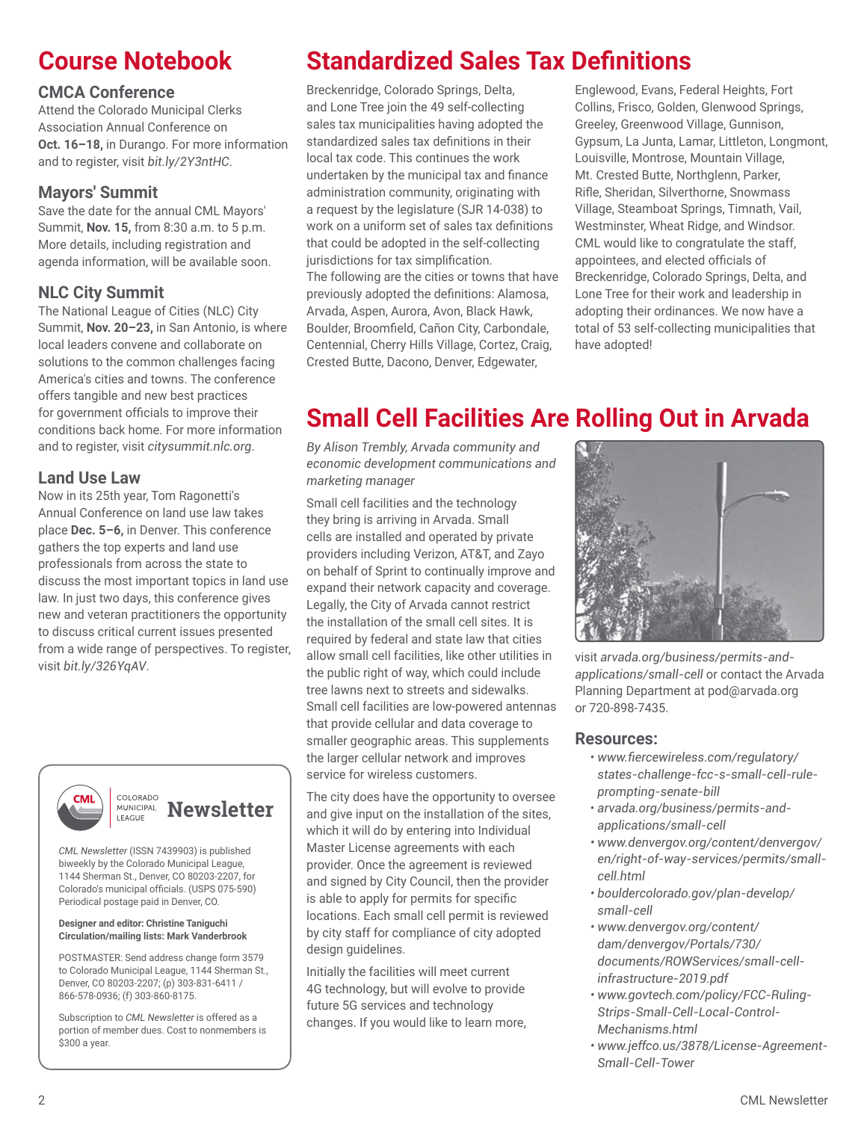# **Course Notebook**

## **CMCA Conference**

Attend the Colorado Municipal Clerks Association Annual Conference on **Oct. 16–18,** in Durango. For more information and to register, visit *bit.ly/2Y3ntHC*.

## **Mayors' Summit**

Save the date for the annual CML Mayors' Summit, **Nov. 15,** from 8:30 a.m. to 5 p.m. More details, including registration and agenda information, will be available soon.

## **NLC City Summit**

The National League of Cities (NLC) City Summit, **Nov. 20–23,** in San Antonio, is where local leaders convene and collaborate on solutions to the common challenges facing America's cities and towns. The conference offers tangible and new best practices for government officials to improve their conditions back home. For more information and to register, visit *citysummit.nlc.org*.

## **Land Use Law**

Now in its 25th year, Tom Ragonetti's Annual Conference on land use law takes place **Dec. 5–6,** in Denver. This conference gathers the top experts and land use professionals from across the state to discuss the most important topics in land use law. In just two days, this conference gives new and veteran practitioners the opportunity to discuss critical current issues presented from a wide range of perspectives. To register, visit *bit.ly/326YqAV*.





*CML Newsletter* (ISSN 7439903) is published biweekly by the Colorado Municipal League, 1144 Sherman St., Denver, CO 80203-2207, for Colorado's municipal officials. (USPS 075-590) Periodical postage paid in Denver, CO.

#### **Designer and editor: Christine Taniguchi Circulation/mailing lists: Mark Vanderbrook**

POSTMASTER: Send address change form 3579 to Colorado Municipal League, 1144 Sherman St., Denver, CO 80203-2207; (p) 303-831-6411 / 866-578-0936; (f) 303-860-8175.

Subscription to *CML Newsletter* is offered as a portion of member dues. Cost to nonmembers is \$300 a year.

# **Standardized Sales Tax Definitions**

Breckenridge, Colorado Springs, Delta, and Lone Tree join the 49 self-collecting sales tax municipalities having adopted the standardized sales tax definitions in their local tax code. This continues the work undertaken by the municipal tax and finance administration community, originating with a request by the legislature (SJR 14-038) to work on a uniform set of sales tax definitions that could be adopted in the self-collecting jurisdictions for tax simplification. The following are the cities or towns that have previously adopted the definitions: Alamosa, Arvada, Aspen, Aurora, Avon, Black Hawk, Boulder, Broomfield, Cañon City, Carbondale, Centennial, Cherry Hills Village, Cortez, Craig, Crested Butte, Dacono, Denver, Edgewater,

Englewood, Evans, Federal Heights, Fort Collins, Frisco, Golden, Glenwood Springs, Greeley, Greenwood Village, Gunnison, Gypsum, La Junta, Lamar, Littleton, Longmont, Louisville, Montrose, Mountain Village, Mt. Crested Butte, Northglenn, Parker, Rifle, Sheridan, Silverthorne, Snowmass Village, Steamboat Springs, Timnath, Vail, Westminster, Wheat Ridge, and Windsor. CML would like to congratulate the staff, appointees, and elected officials of Breckenridge, Colorado Springs, Delta, and Lone Tree for their work and leadership in adopting their ordinances. We now have a total of 53 self-collecting municipalities that have adopted!

# **Small Cell Facilities Are Rolling Out in Arvada**

*By Alison Trembly, Arvada community and economic development communications and marketing manager*

Small cell facilities and the technology they bring is arriving in Arvada. Small cells are installed and operated by private providers including Verizon, AT&T, and Zayo on behalf of Sprint to continually improve and expand their network capacity and coverage. Legally, the City of Arvada cannot restrict the installation of the small cell sites. It is required by federal and state law that cities allow small cell facilities, like other utilities in the public right of way, which could include tree lawns next to streets and sidewalks. Small cell facilities are low-powered antennas that provide cellular and data coverage to smaller geographic areas. This supplements the larger cellular network and improves service for wireless customers.

The city does have the opportunity to oversee and give input on the installation of the sites, which it will do by entering into Individual Master License agreements with each provider. Once the agreement is reviewed and signed by City Council, then the provider is able to apply for permits for specific locations. Each small cell permit is reviewed by city staff for compliance of city adopted design guidelines.

Initially the facilities will meet current 4G technology, but will evolve to provide future 5G services and technology changes. If you would like to learn more,



visit *arvada.org/business/permits-andapplications/small-cell* or contact the Arvada Planning Department at pod@arvada.org or 720-898-7435.

#### **Resources:**

- *www.fiercewireless.com/regulatory/ states-challenge-fcc-s-small-cell-ruleprompting-senate-bill*
- *arvada.org/business/permits-andapplications/small-cell*
- *www.denvergov.org/content/denvergov/ en/right-of-way-services/permits/smallcell.html*
- *bouldercolorado.gov/plan-develop/ small-cell*
- *www.denvergov.org/content/ dam/denvergov/Portals/730/ documents/ROWServices/small-cellinfrastructure-2019.pdf*
- *www.govtech.com/policy/FCC-Ruling-Strips-Small-Cell-Local-Control-Mechanisms.html*
- *www.jeffco.us/3878/License-Agreement-Small-Cell-Tower*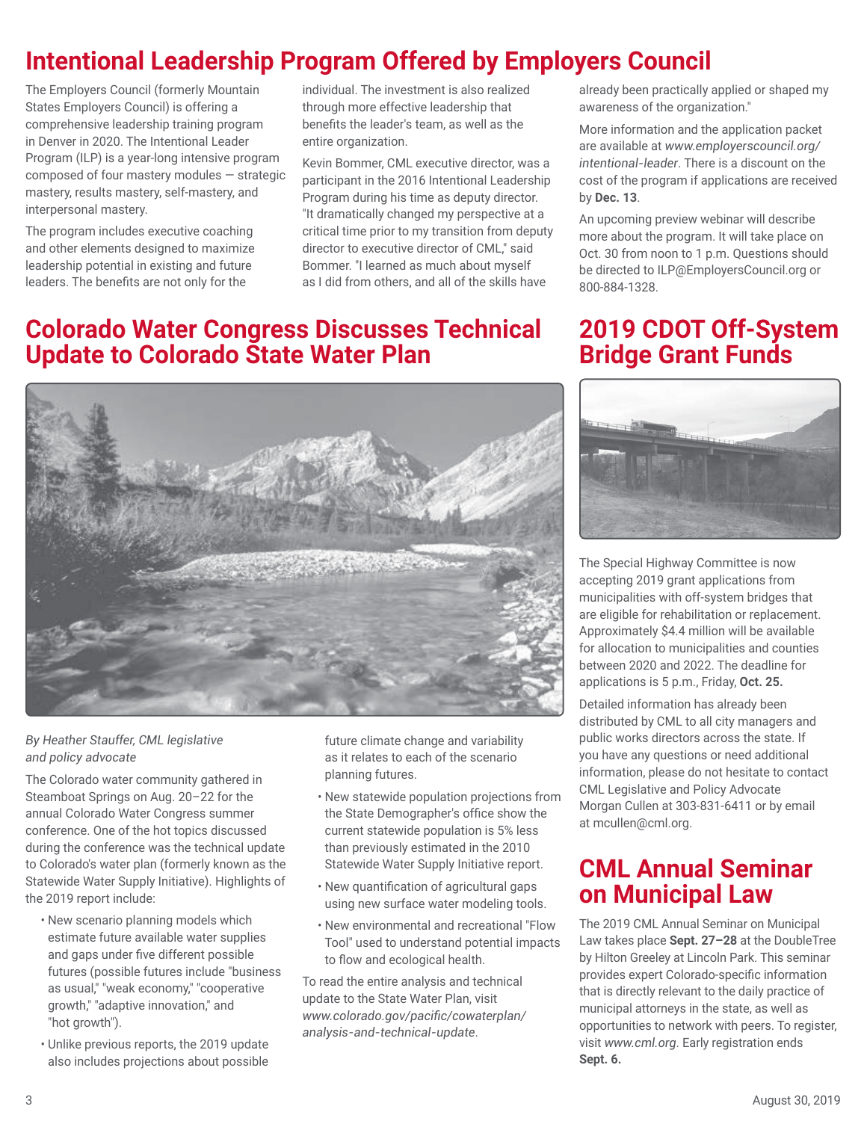# **Intentional Leadership Program Offered by Employers Council**

The Employers Council (formerly Mountain States Employers Council) is offering a comprehensive leadership training program in Denver in 2020. The Intentional Leader Program (ILP) is a year-long intensive program composed of four mastery modules — strategic mastery, results mastery, self-mastery, and interpersonal mastery.

The program includes executive coaching and other elements designed to maximize leadership potential in existing and future leaders. The benefits are not only for the

individual. The investment is also realized through more effective leadership that benefits the leader's team, as well as the entire organization.

Kevin Bommer, CML executive director, was a participant in the 2016 Intentional Leadership Program during his time as deputy director. "It dramatically changed my perspective at a critical time prior to my transition from deputy director to executive director of CML," said Bommer. "I learned as much about myself as I did from others, and all of the skills have

## **Colorado Water Congress Discusses Technical Update to Colorado State Water Plan**



#### *By Heather Stauffer, CML legislative and policy advocate*

The Colorado water community gathered in Steamboat Springs on Aug. 20–22 for the annual Colorado Water Congress summer conference. One of the hot topics discussed during the conference was the technical update to Colorado's water plan (formerly known as the Statewide Water Supply Initiative). Highlights of the 2019 report include:

- New scenario planning models which estimate future available water supplies and gaps under five different possible futures (possible futures include "business as usual," "weak economy," "cooperative growth," "adaptive innovation," and "hot growth").
- Unlike previous reports, the 2019 update also includes projections about possible

future climate change and variability as it relates to each of the scenario planning futures.

- New statewide population projections from the State Demographer's office show the current statewide population is 5% less than previously estimated in the 2010 Statewide Water Supply Initiative report.
- New quantification of agricultural gaps using new surface water modeling tools.
- New environmental and recreational "Flow Tool" used to understand potential impacts to flow and ecological health.

To read the entire analysis and technical update to the State Water Plan, visit *www.colorado.gov/pacific/cowaterplan/ analysis-and-technical-update*.

already been practically applied or shaped my awareness of the organization."

More information and the application packet are available at *www.employerscouncil.org/ intentional-leader*. There is a discount on the cost of the program if applications are received by **Dec. 13**.

An upcoming preview webinar will describe more about the program. It will take place on Oct. 30 from noon to 1 p.m. Questions should be directed to ILP@EmployersCouncil.org or 800-884-1328.

## **2019 CDOT Off-System Bridge Grant Funds**



The Special Highway Committee is now accepting 2019 grant applications from municipalities with off-system bridges that are eligible for rehabilitation or replacement. Approximately \$4.4 million will be available for allocation to municipalities and counties between 2020 and 2022. The deadline for applications is 5 p.m., Friday, **Oct. 25.**

Detailed information has already been distributed by CML to all city managers and public works directors across the state. If you have any questions or need additional information, please do not hesitate to contact CML Legislative and Policy Advocate Morgan Cullen at 303-831-6411 or by email at mcullen@cml.org.

## **CML Annual Seminar on Municipal Law**

The 2019 CML Annual Seminar on Municipal Law takes place **Sept. 27–28** at the DoubleTree by Hilton Greeley at Lincoln Park. This seminar provides expert Colorado-specific information that is directly relevant to the daily practice of municipal attorneys in the state, as well as opportunities to network with peers. To register, visit *www.cml.org*. Early registration ends **Sept. 6.**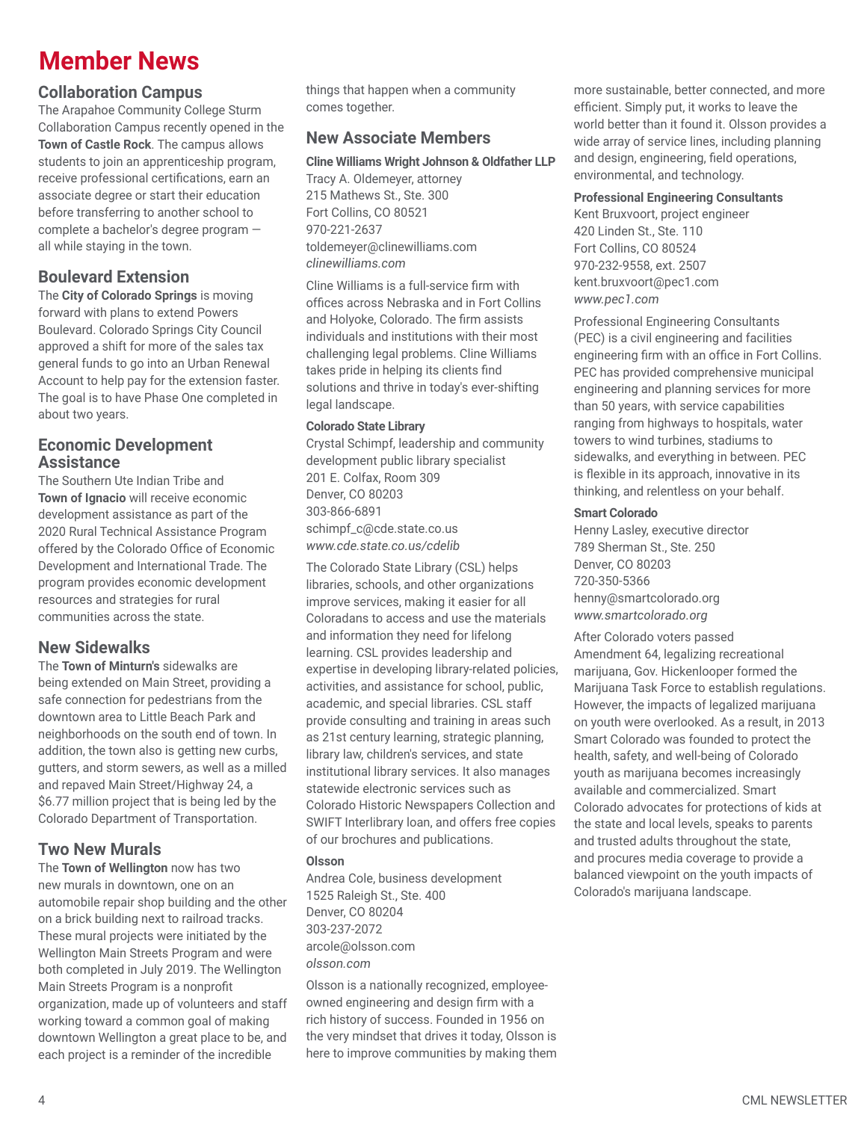## **Member News**

#### **Collaboration Campus**

The Arapahoe Community College Sturm Collaboration Campus recently opened in the **Town of Castle Rock**. The campus allows students to join an apprenticeship program, receive professional certifications, earn an associate degree or start their education before transferring to another school to complete a bachelor's degree program all while staying in the town.

## **Boulevard Extension**

The **City of Colorado Springs** is moving forward with plans to extend Powers Boulevard. Colorado Springs City Council approved a shift for more of the sales tax general funds to go into an Urban Renewal Account to help pay for the extension faster. The goal is to have Phase One completed in about two years.

#### **Economic Development Assistance**

The Southern Ute Indian Tribe and **Town of Ignacio** will receive economic development assistance as part of the 2020 Rural Technical Assistance Program offered by the Colorado Office of Economic Development and International Trade. The program provides economic development resources and strategies for rural communities across the state.

## **New Sidewalks**

The **Town of Minturn's** sidewalks are being extended on Main Street, providing a safe connection for pedestrians from the downtown area to Little Beach Park and neighborhoods on the south end of town. In addition, the town also is getting new curbs, gutters, and storm sewers, as well as a milled and repaved Main Street/Highway 24, a \$6.77 million project that is being led by the Colorado Department of Transportation.

## **Two New Murals**

The **Town of Wellington** now has two new murals in downtown, one on an automobile repair shop building and the other on a brick building next to railroad tracks. These mural projects were initiated by the Wellington Main Streets Program and were both completed in July 2019. The Wellington Main Streets Program is a nonprofit organization, made up of volunteers and staff working toward a common goal of making downtown Wellington a great place to be, and each project is a reminder of the incredible

things that happen when a community comes together.

#### **New Associate Members**

**Cline Williams Wright Johnson & Oldfather LLP**

Tracy A. Oldemeyer, attorney 215 Mathews St., Ste. 300 Fort Collins, CO 80521 970-221-2637 toldemeyer@clinewilliams.com *clinewilliams.com*

Cline Williams is a full-service firm with offices across Nebraska and in Fort Collins and Holyoke, Colorado. The firm assists individuals and institutions with their most challenging legal problems. Cline Williams takes pride in helping its clients find solutions and thrive in today's ever-shifting legal landscape.

#### **Colorado State Library**

Crystal Schimpf, leadership and community development public library specialist 201 E. Colfax, Room 309 Denver, CO 80203 303-866-6891 schimpf\_c@cde.state.co.us *www.cde.state.co.us/cdelib*

The Colorado State Library (CSL) helps libraries, schools, and other organizations improve services, making it easier for all Coloradans to access and use the materials and information they need for lifelong learning. CSL provides leadership and expertise in developing library-related policies, activities, and assistance for school, public, academic, and special libraries. CSL staff provide consulting and training in areas such as 21st century learning, strategic planning, library law, children's services, and state institutional library services. It also manages statewide electronic services such as Colorado Historic Newspapers Collection and SWIFT Interlibrary loan, and offers free copies of our brochures and publications.

#### **Olsson**

Andrea Cole, business development 1525 Raleigh St., Ste. 400 Denver, CO 80204 303-237-2072 arcole@olsson.com *olsson.com*

Olsson is a nationally recognized, employeeowned engineering and design firm with a rich history of success. Founded in 1956 on the very mindset that drives it today, Olsson is here to improve communities by making them

more sustainable, better connected, and more efficient. Simply put, it works to leave the world better than it found it. Olsson provides a wide array of service lines, including planning and design, engineering, field operations, environmental, and technology.

#### **Professional Engineering Consultants**

Kent Bruxvoort, project engineer 420 Linden St., Ste. 110 Fort Collins, CO 80524 970-232-9558, ext. 2507 kent.bruxvoort@pec1.com *www.pec1.com*

Professional Engineering Consultants (PEC) is a civil engineering and facilities engineering firm with an office in Fort Collins. PEC has provided comprehensive municipal engineering and planning services for more than 50 years, with service capabilities ranging from highways to hospitals, water towers to wind turbines, stadiums to sidewalks, and everything in between. PEC is flexible in its approach, innovative in its thinking, and relentless on your behalf.

#### **Smart Colorado**

Henny Lasley, executive director 789 Sherman St., Ste. 250 Denver, CO 80203 720-350-5366 henny@smartcolorado.org *www.smartcolorado.org*

After Colorado voters passed Amendment 64, legalizing recreational marijuana, Gov. Hickenlooper formed the Marijuana Task Force to establish regulations. However, the impacts of legalized marijuana on youth were overlooked. As a result, in 2013 Smart Colorado was founded to protect the health, safety, and well-being of Colorado youth as marijuana becomes increasingly available and commercialized. Smart Colorado advocates for protections of kids at the state and local levels, speaks to parents and trusted adults throughout the state, and procures media coverage to provide a balanced viewpoint on the youth impacts of Colorado's marijuana landscape.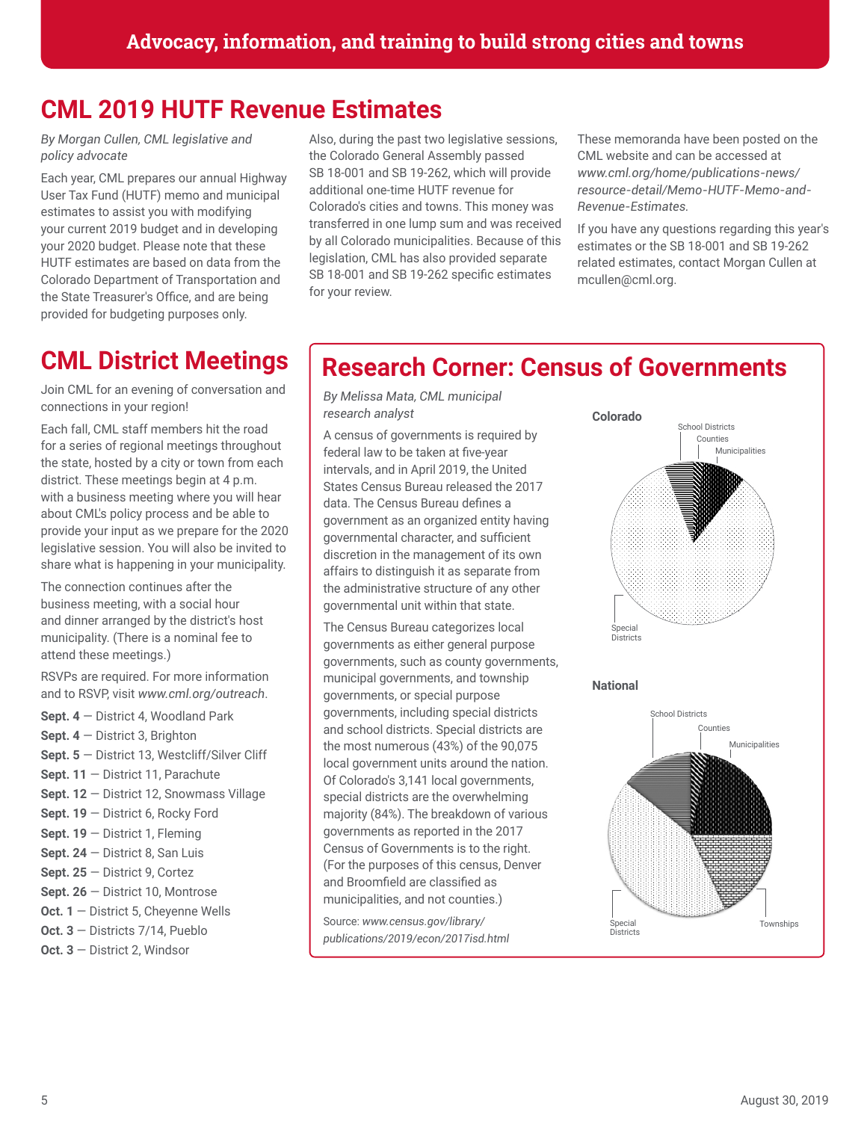## **CML 2019 HUTF Revenue Estimates**

*By Morgan Cullen, CML legislative and policy advocate*

Each year, CML prepares our annual Highway User Tax Fund (HUTF) memo and municipal estimates to assist you with modifying your current 2019 budget and in developing your 2020 budget. Please note that these HUTF estimates are based on data from the Colorado Department of Transportation and the State Treasurer's Office, and are being provided for budgeting purposes only.

# **CML District Meetings**

Join CML for an evening of conversation and connections in your region!

Each fall, CML staff members hit the road for a series of regional meetings throughout the state, hosted by a city or town from each district. These meetings begin at 4 p.m. with a business meeting where you will hear about CML's policy process and be able to provide your input as we prepare for the 2020 legislative session. You will also be invited to share what is happening in your municipality.

The connection continues after the business meeting, with a social hour and dinner arranged by the district's host municipality. (There is a nominal fee to attend these meetings.)

RSVPs are required. For more information and to RSVP, visit *www.cml.org/outreach*.

**Sept. 4** — District 4, Woodland Park **Sept. 4** — District 3, Brighton **Sept. 5** — District 13, Westcliff/Silver Cliff **Sept. 11** — District 11, Parachute **Sept. 12** — District 12, Snowmass Village **Sept. 19** — District 6, Rocky Ford **Sept. 19** — District 1, Fleming **Sept. 24** — District 8, San Luis **Sept. 25** — District 9, Cortez **Sept. 26** — District 10, Montrose **Oct. 1** — District 5, Cheyenne Wells **Oct. 3** — Districts 7/14, Pueblo **Oct. 3** — District 2, Windsor

Also, during the past two legislative sessions, the Colorado General Assembly passed SB 18-001 and SB 19-262, which will provide additional one-time HUTF revenue for Colorado's cities and towns. This money was transferred in one lump sum and was received by all Colorado municipalities. Because of this legislation, CML has also provided separate SB 18-001 and SB 19-262 specific estimates for your review.

These memoranda have been posted on the CML website and can be accessed at *www.cml.org/home/publications-news/ resource-detail/Memo-HUTF-Memo-and-Revenue-Estimates.*

If you have any questions regarding this year's estimates or the SB 18-001 and SB 19-262 related estimates, contact Morgan Cullen at mcullen@cml.org.

## **Research Corner: Census of Governments**

*By Melissa Mata, CML municipal research analyst*

A census of governments is required by federal law to be taken at five-year intervals, and in April 2019, the United States Census Bureau released the 2017 data. The Census Bureau defines a government as an organized entity having governmental character, and sufficient discretion in the management of its own affairs to distinguish it as separate from the administrative structure of any other governmental unit within that state.

The Census Bureau categorizes local governments as either general purpose governments, such as county governments, municipal governments, and township governments, or special purpose governments, including special districts and school districts. Special districts are the most numerous (43%) of the 90,075 local government units around the nation. Of Colorado's 3,141 local governments, special districts are the overwhelming majority (84%). The breakdown of various governments as reported in the 2017 Census of Governments is to the right. (For the purposes of this census, Denver and Broomfield are classified as municipalities, and not counties.)

Source: *www.census.gov/library/ publications/2019/econ/2017isd.html*



**National**